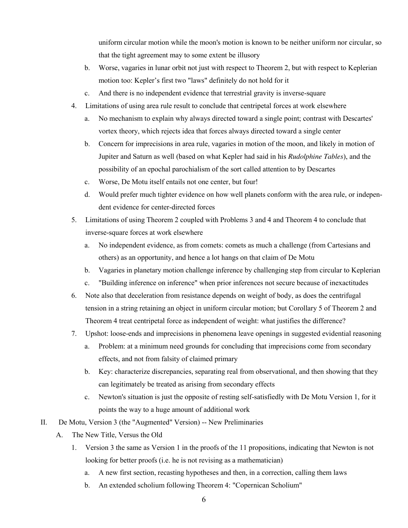uniform circular motion while the moon's motion is known to be neither uniform nor circular, so that the tight agreement may to some extent be illusory

- b. Worse, vagaries in lunar orbit not just with respect to Theorem 2, but with respect to Keplerian motion too: Kepler's first two "laws" definitely do not hold for it
- c. And there is no independent evidence that terrestrial gravity is inverse-square
- 4. Limitations of using area rule result to conclude that centripetal forces at work elsewhere
	- a. No mechanism to explain why always directed toward a single point; contrast with Descartes' vortex theory, which rejects idea that forces always directed toward a single center
	- b. Concern for imprecisions in area rule, vagaries in motion of the moon, and likely in motion of Jupiter and Saturn as well (based on what Kepler had said in his *Rudolphine Tables*), and the possibility of an epochal parochialism of the sort called attention to by Descartes
	- c. Worse, De Motu itself entails not one center, but four!
	- d. Would prefer much tighter evidence on how well planets conform with the area rule, or independent evidence for center-directed forces
- 5. Limitations of using Theorem 2 coupled with Problems 3 and 4 and Theorem 4 to conclude that inverse-square forces at work elsewhere
	- a. No independent evidence, as from comets: comets as much a challenge (from Cartesians and others) as an opportunity, and hence a lot hangs on that claim of De Motu
	- b. Vagaries in planetary motion challenge inference by challenging step from circular to Keplerian
	- c. "Building inference on inference" when prior inferences not secure because of inexactitudes
- 6. Note also that deceleration from resistance depends on weight of body, as does the centrifugal tension in a string retaining an object in uniform circular motion; but Corollary 5 of Theorem 2 and Theorem 4 treat centripetal force as independent of weight: what justifies the difference?
- 7. Upshot: loose-ends and imprecisions in phenomena leave openings in suggested evidential reasoning
	- a. Problem: at a minimum need grounds for concluding that imprecisions come from secondary effects, and not from falsity of claimed primary
	- b. Key: characterize discrepancies, separating real from observational, and then showing that they can legitimately be treated as arising from secondary effects
	- c. Newton's situation is just the opposite of resting self-satisfiedly with De Motu Version 1, for it points the way to a huge amount of additional work
- II. De Motu, Version 3 (the "Augmented" Version) -- New Preliminaries
	- A. The New Title, Versus the Old
		- 1. Version 3 the same as Version 1 in the proofs of the 11 propositions, indicating that Newton is not looking for better proofs (i.e. he is not revising as a mathematician)
			- a. A new first section, recasting hypotheses and then, in a correction, calling them laws
			- b. An extended scholium following Theorem 4: "Copernican Scholium"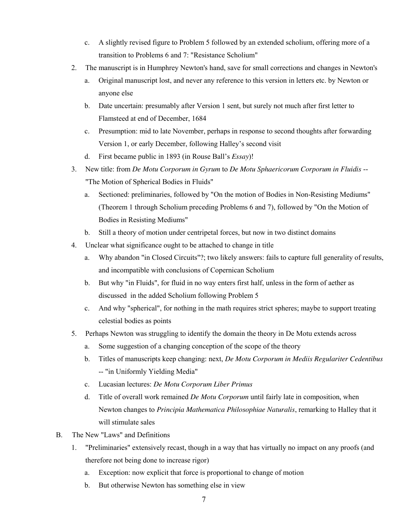- c. A slightly revised figure to Problem 5 followed by an extended scholium, offering more of a transition to Problems 6 and 7: "Resistance Scholium"
- 2. The manuscript is in Humphrey Newton's hand, save for small corrections and changes in Newton's
	- a. Original manuscript lost, and never any reference to this version in letters etc. by Newton or anyone else
	- b. Date uncertain: presumably after Version 1 sent, but surely not much after first letter to Flamsteed at end of December, 1684
	- c. Presumption: mid to late November, perhaps in response to second thoughts after forwarding Version 1, or early December, following Halley's second visit
	- d. First became public in 1893 (in Rouse Ball's *Essay*)!
- 3. New title: from *De Motu Corporum in Gyrum* to *De Motu Sphaericorum Corporum in Fluidis* -- "The Motion of Spherical Bodies in Fluids"
	- a. Sectioned: preliminaries, followed by "On the motion of Bodies in Non-Resisting Mediums" (Theorem 1 through Scholium preceding Problems 6 and 7), followed by "On the Motion of Bodies in Resisting Mediums"
	- b. Still a theory of motion under centripetal forces, but now in two distinct domains
- 4. Unclear what significance ought to be attached to change in title
	- a. Why abandon "in Closed Circuits"?; two likely answers: fails to capture full generality of results, and incompatible with conclusions of Copernican Scholium
	- b. But why "in Fluids", for fluid in no way enters first half, unless in the form of aether as discussed in the added Scholium following Problem 5
	- c. And why "spherical", for nothing in the math requires strict spheres; maybe to support treating celestial bodies as points
- 5. Perhaps Newton was struggling to identify the domain the theory in De Motu extends across
	- a. Some suggestion of a changing conception of the scope of the theory
	- b. Titles of manuscripts keep changing: next, *De Motu Corporum in Mediis Regulariter Cedentibus* -- "in Uniformly Yielding Media"
	- c. Lucasian lectures: *De Motu Corporum Liber Primus*
	- d. Title of overall work remained *De Motu Corporum* until fairly late in composition, when Newton changes to *Principia Mathematica Philosophiae Naturalis*, remarking to Halley that it will stimulate sales
- B. The New "Laws" and Definitions
	- 1. "Preliminaries" extensively recast, though in a way that has virtually no impact on any proofs (and therefore not being done to increase rigor)
		- a. Exception: now explicit that force is proportional to change of motion
		- b. But otherwise Newton has something else in view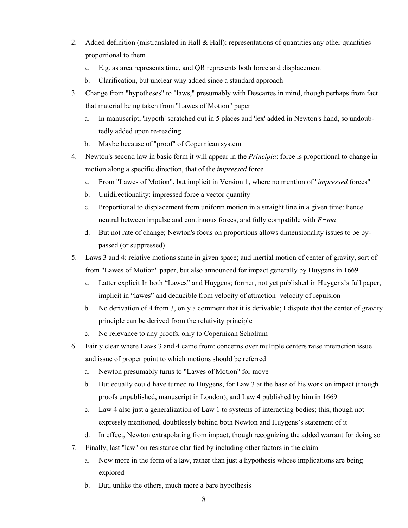- 2. Added definition (mistranslated in Hall & Hall): representations of quantities any other quantities proportional to them
	- a. E.g. as area represents time, and QR represents both force and displacement
	- b. Clarification, but unclear why added since a standard approach
- 3. Change from "hypotheses" to "laws," presumably with Descartes in mind, though perhaps from fact that material being taken from "Lawes of Motion" paper
	- a. In manuscript, 'hypoth' scratched out in 5 places and 'lex' added in Newton's hand, so undoubtedly added upon re-reading
	- b. Maybe because of "proof" of Copernican system
- 4. Newton's second law in basic form it will appear in the *Principia*: force is proportional to change in motion along a specific direction, that of the *impressed* force
	- a. From "Lawes of Motion", but implicit in Version 1, where no mention of "*impressed* forces"
	- b. Unidirectionality: impressed force a vector quantity
	- c. Proportional to displacement from uniform motion in a straight line in a given time: hence neutral between impulse and continuous forces, and fully compatible with *F=ma*
	- d. But not rate of change; Newton's focus on proportions allows dimensionality issues to be bypassed (or suppressed)
- 5. Laws 3 and 4: relative motions same in given space; and inertial motion of center of gravity, sort of from "Lawes of Motion" paper, but also announced for impact generally by Huygens in 1669
	- a. Latter explicit In both "Lawes" and Huygens; former, not yet published in Huygens's full paper, implicit in "lawes" and deducible from velocity of attraction=velocity of repulsion
	- b. No derivation of 4 from 3, only a comment that it is derivable; I dispute that the center of gravity principle can be derived from the relativity principle
	- c. No relevance to any proofs, only to Copernican Scholium
- 6. Fairly clear where Laws 3 and 4 came from: concerns over multiple centers raise interaction issue and issue of proper point to which motions should be referred
	- a. Newton presumably turns to "Lawes of Motion" for move
	- b. But equally could have turned to Huygens, for Law 3 at the base of his work on impact (though proofs unpublished, manuscript in London), and Law 4 published by him in 1669
	- c. Law 4 also just a generalization of Law 1 to systems of interacting bodies; this, though not expressly mentioned, doubtlessly behind both Newton and Huygens's statement of it
	- d. In effect, Newton extrapolating from impact, though recognizing the added warrant for doing so
- 7. Finally, last "law" on resistance clarified by including other factors in the claim
	- a. Now more in the form of a law, rather than just a hypothesis whose implications are being explored
	- b. But, unlike the others, much more a bare hypothesis